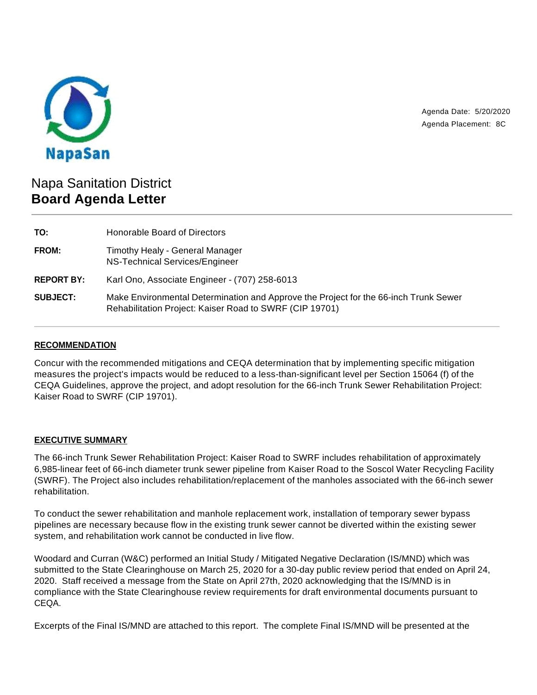

Agenda Date: 5/20/2020 Agenda Placement: 8C

# Napa Sanitation District **Board Agenda Letter**

| TO:               | Honorable Board of Directors                                                                                                                    |
|-------------------|-------------------------------------------------------------------------------------------------------------------------------------------------|
| FROM:             | <b>Timothy Healy - General Manager</b><br>NS-Technical Services/Engineer                                                                        |
| <b>REPORT BY:</b> | Karl Ono, Associate Engineer - (707) 258-6013                                                                                                   |
| <b>SUBJECT:</b>   | Make Environmental Determination and Approve the Project for the 66-inch Trunk Sewer<br>Rehabilitation Project: Kaiser Road to SWRF (CIP 19701) |

## **RECOMMENDATION**

Concur with the recommended mitigations and CEQA determination that by implementing specific mitigation measures the project's impacts would be reduced to a less-than-significant level per Section 15064 (f) of the CEQA Guidelines, approve the project, and adopt resolution for the 66-inch Trunk Sewer Rehabilitation Project: Kaiser Road to SWRF (CIP 19701).

## **EXECUTIVE SUMMARY**

The 66-inch Trunk Sewer Rehabilitation Project: Kaiser Road to SWRF includes rehabilitation of approximately 6,985-linear feet of 66-inch diameter trunk sewer pipeline from Kaiser Road to the Soscol Water Recycling Facility (SWRF). The Project also includes rehabilitation/replacement of the manholes associated with the 66-inch sewer rehabilitation.

To conduct the sewer rehabilitation and manhole replacement work, installation of temporary sewer bypass pipelines are necessary because flow in the existing trunk sewer cannot be diverted within the existing sewer system, and rehabilitation work cannot be conducted in live flow.

Woodard and Curran (W&C) performed an Initial Study / Mitigated Negative Declaration (IS/MND) which was submitted to the State Clearinghouse on March 25, 2020 for a 30-day public review period that ended on April 24, 2020. Staff received a message from the State on April 27th, 2020 acknowledging that the IS/MND is in compliance with the State Clearinghouse review requirements for draft environmental documents pursuant to CEQA.

Excerpts of the Final IS/MND are attached to this report. The complete Final IS/MND will be presented at the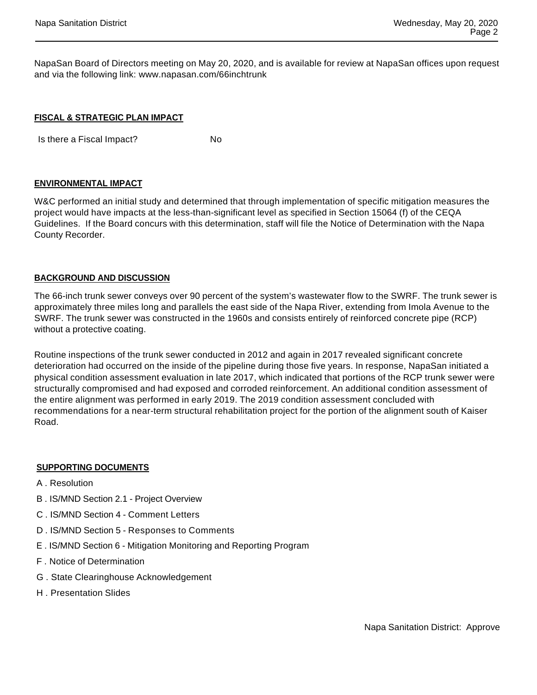NapaSan Board of Directors meeting on May 20, 2020, and is available for review at NapaSan offices upon request and via the following link: www.napasan.com/66inchtrunk

#### **FISCAL & STRATEGIC PLAN IMPACT**

Is there a Fiscal Impact? No

#### **ENVIRONMENTAL IMPACT**

W&C performed an initial study and determined that through implementation of specific mitigation measures the project would have impacts at the less-than-significant level as specified in Section 15064 (f) of the CEQA Guidelines. If the Board concurs with this determination, staff will file the Notice of Determination with the Napa County Recorder.

#### **BACKGROUND AND DISCUSSION**

The 66-inch trunk sewer conveys over 90 percent of the system's wastewater flow to the SWRF. The trunk sewer is approximately three miles long and parallels the east side of the Napa River, extending from Imola Avenue to the SWRF. The trunk sewer was constructed in the 1960s and consists entirely of reinforced concrete pipe (RCP) without a protective coating.

Routine inspections of the trunk sewer conducted in 2012 and again in 2017 revealed significant concrete deterioration had occurred on the inside of the pipeline during those five years. In response, NapaSan initiated a physical condition assessment evaluation in late 2017, which indicated that portions of the RCP trunk sewer were structurally compromised and had exposed and corroded reinforcement. An additional condition assessment of the entire alignment was performed in early 2019. The 2019 condition assessment concluded with recommendations for a near-term structural rehabilitation project for the portion of the alignment south of Kaiser Road.

### **SUPPORTING DOCUMENTS**

- A . Resolution
- B . IS/MND Section 2.1 Project Overview
- C . IS/MND Section 4 Comment Letters
- D . IS/MND Section 5 Responses to Comments
- E . IS/MND Section 6 Mitigation Monitoring and Reporting Program
- F . Notice of Determination
- G . State Clearinghouse Acknowledgement
- H . Presentation Slides